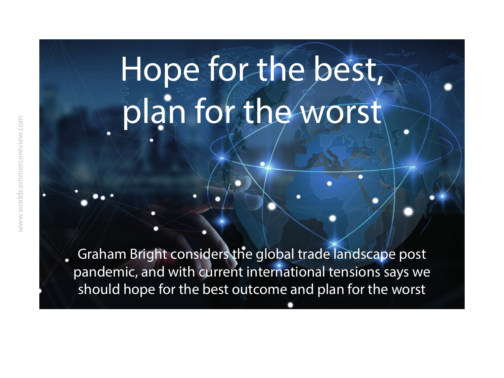## Hope for the best, plan for the worst

Graham Bright considers the global trade landscape post pandemic, and with current international tensions says we should hope for the best outcome and plan for the worst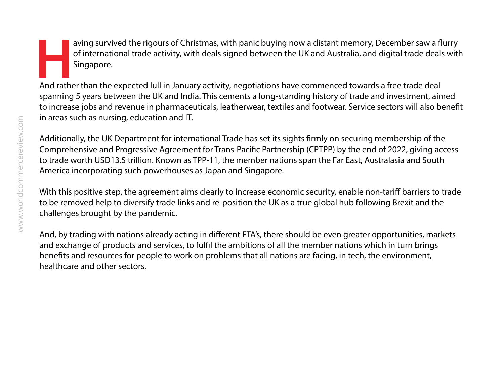aving survived the rigours of Christmas, with panic buying now a distant memory, December saw a flurry<br>of international trade activity, with deals signed between the UK and Australia, and digital trade deals with<br>Singapore of international trade activity, with deals signed between the UK and Australia, and digital trade deals with Singapore.

And rather than the expected lull in January activity, negotiations have commenced towards a free trade deal spanning 5 years between the UK and India. This cements a long-standing history of trade and investment, aimed to increase jobs and revenue in pharmaceuticals, leatherwear, textiles and footwear. Service sectors will also benefit in areas such as nursing, education and IT.

Additionally, the UK Department for international Trade has set its sights firmly on securing membership of the Comprehensive and Progressive Agreement for Trans-Pacific Partnership (CPTPP) by the end of 2022, giving access to trade worth USD13.5 trillion. Known as TPP-11, the member nations span the Far East, Australasia and South America incorporating such powerhouses as Japan and Singapore.

With this positive step, the agreement aims clearly to increase economic security, enable non-tariff barriers to trade to be removed help to diversify trade links and re-position the UK as a true global hub following Brexit and the challenges brought by the pandemic.

And, by trading with nations already acting in different FTA's, there should be even greater opportunities, markets and exchange of products and services, to fulfil the ambitions of all the member nations which in turn brings benefits and resources for people to work on problems that all nations are facing, in tech, the environment, healthcare and other sectors.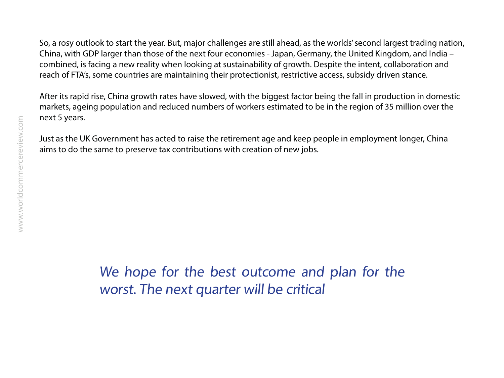So, a rosy outlook to start the year. But, major challenges are still ahead, as the worlds' second largest trading nation, China, with GDP larger than those of the next four economies - Japan, Germany, the United Kingdom, and India – combined, is facing a new reality when looking at sustainability of growth. Despite the intent, collaboration and reach of FTA's, some countries are maintaining their protectionist, restrictive access, subsidy driven stance.

After its rapid rise, China growth rates have slowed, with the biggest factor being the fall in production in domestic markets, ageing population and reduced numbers of workers estimated to be in the region of 35 million over the next 5 years.

Just as the UK Government has acted to raise the retirement age and keep people in employment longer, China aims to do the same to preserve tax contributions with creation of new jobs.

> We hope for the best outcome and plan for the worst. The next quarter will be critical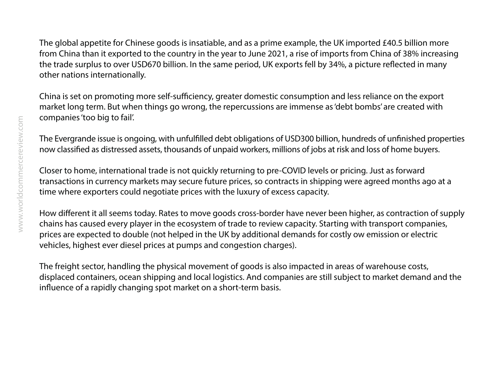The global appetite for Chinese goods is insatiable, and as a prime example, the UK imported £40.5 billion more from China than it exported to the country in the year to June 2021, a rise of imports from China of 38% increasing the trade surplus to over USD670 billion. In the same period, UK exports fell by 34%, a picture reflected in many other nations internationally.

China is set on promoting more self-sufficiency, greater domestic consumption and less reliance on the export market long term. But when things go wrong, the repercussions are immense as 'debt bombs' are created with companies 'too big to fail'.

The Evergrande issue is ongoing, with unfulfilled debt obligations of USD300 billion, hundreds of unfinished properties now classified as distressed assets, thousands of unpaid workers, millions of jobs at risk and loss of home buyers.

Closer to home, international trade is not quickly returning to pre-COVID levels or pricing. Just as forward transactions in currency markets may secure future prices, so contracts in shipping were agreed months ago at a time where exporters could negotiate prices with the luxury of excess capacity.

How different it all seems today. Rates to move goods cross-border have never been higher, as contraction of supply chains has caused every player in the ecosystem of trade to review capacity. Starting with transport companies, prices are expected to double (not helped in the UK by additional demands for costly ow emission or electric vehicles, highest ever diesel prices at pumps and congestion charges).

The freight sector, handling the physical movement of goods is also impacted in areas of warehouse costs, displaced containers, ocean shipping and local logistics. And companies are still subject to market demand and the influence of a rapidly changing spot market on a short-term basis.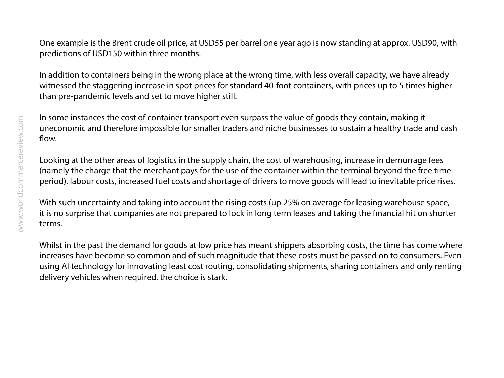One example is the Brent crude oil price, at USD55 per barrel one year ago is now standing at approx. USD90, with predictions of USD150 within three months.

In addition to containers being in the wrong place at the wrong time, with less overall capacity, we have already witnessed the staggering increase in spot prices for standard 40-foot containers, with prices up to 5 times higher than pre-pandemic levels and set to move higher still.

In some instances the cost of container transport even surpass the value of goods they contain, making it uneconomic and therefore impossible for smaller traders and niche businesses to sustain a healthy trade and cash flow.

Looking at the other areas of logistics in the supply chain, the cost of warehousing, increase in demurrage fees (namely the charge that the merchant pays for the use of the container within the terminal beyond the free time period), labour costs, increased fuel costs and shortage of drivers to move goods will lead to inevitable price rises.

With such uncertainty and taking into account the rising costs (up 25% on average for leasing warehouse space, it is no surprise that companies are not prepared to lock in long term leases and taking the financial hit on shorter terms.

Whilst in the past the demand for goods at low price has meant shippers absorbing costs, the time has come where increases have become so common and of such magnitude that these costs must be passed on to consumers. Even using AI technology for innovating least cost routing, consolidating shipments, sharing containers and only renting delivery vehicles when required, the choice is stark.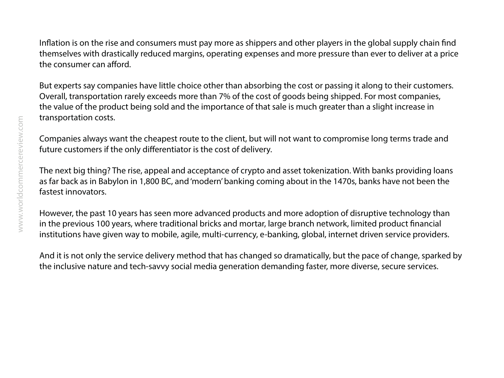Inflation is on the rise and consumers must pay more as shippers and other players in the global supply chain find themselves with drastically reduced margins, operating expenses and more pressure than ever to deliver at a price the consumer can afford.

But experts say companies have little choice other than absorbing the cost or passing it along to their customers. Overall, transportation rarely exceeds more than 7% of the cost of goods being shipped. For most companies, the value of the product being sold and the importance of that sale is much greater than a slight increase in transportation costs.

Companies always want the cheapest route to the client, but will not want to compromise long terms trade and future customers if the only differentiator is the cost of delivery.

The next big thing? The rise, appeal and acceptance of crypto and asset tokenization. With banks providing loans as far back as in Babylon in 1,800 BC, and 'modern' banking coming about in the 1470s, banks have not been the fastest innovators.

However, the past 10 years has seen more advanced products and more adoption of disruptive technology than in the previous 100 years, where traditional bricks and mortar, large branch network, limited product financial institutions have given way to mobile, agile, multi-currency, e-banking, global, internet driven service providers.

And it is not only the service delivery method that has changed so dramatically, but the pace of change, sparked by the inclusive nature and tech-savvy social media generation demanding faster, more diverse, secure services.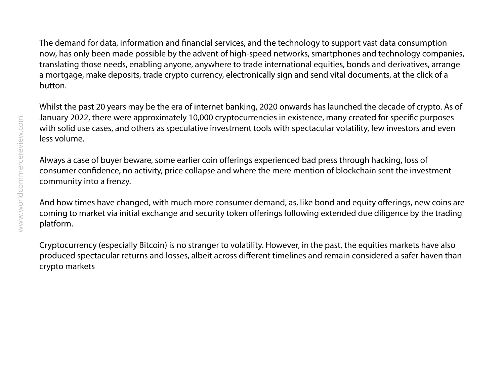The demand for data, information and financial services, and the technology to support vast data consumption now, has only been made possible by the advent of high-speed networks, smartphones and technology companies, translating those needs, enabling anyone, anywhere to trade international equities, bonds and derivatives, arrange a mortgage, make deposits, trade crypto currency, electronically sign and send vital documents, at the click of a button.

Whilst the past 20 years may be the era of internet banking, 2020 onwards has launched the decade of crypto. As of January 2022, there were approximately 10,000 cryptocurrencies in existence, many created for specific purposes with solid use cases, and others as speculative investment tools with spectacular volatility, few investors and even less volume.

Always a case of buyer beware, some earlier coin offerings experienced bad press through hacking, loss of consumer confidence, no activity, price collapse and where the mere mention of blockchain sent the investment community into a frenzy.

And how times have changed, with much more consumer demand, as, like bond and equity offerings, new coins are coming to market via initial exchange and security token offerings following extended due diligence by the trading platform.

Cryptocurrency (especially Bitcoin) is no stranger to volatility. However, in the past, the equities markets have also produced spectacular returns and losses, albeit across different timelines and remain considered a safer haven than crypto markets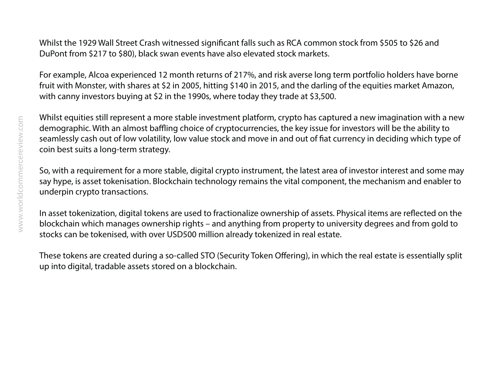Whilst the 1929 Wall Street Crash witnessed significant falls such as RCA common stock from \$505 to \$26 and DuPont from \$217 to \$80), black swan events have also elevated stock markets.

For example, Alcoa experienced 12 month returns of 217%, and risk averse long term portfolio holders have borne fruit with Monster, with shares at \$2 in 2005, hitting \$140 in 2015, and the darling of the equities market Amazon, with canny investors buying at \$2 in the 1990s, where today they trade at \$3,500.

Whilst equities still represent a more stable investment platform, crypto has captured a new imagination with a new demographic. With an almost baffling choice of cryptocurrencies, the key issue for investors will be the ability to seamlessly cash out of low volatility, low value stock and move in and out of fiat currency in deciding which type of coin best suits a long-term strategy.

So, with a requirement for a more stable, digital crypto instrument, the latest area of investor interest and some may say hype, is asset tokenisation. Blockchain technology remains the vital component, the mechanism and enabler to underpin crypto transactions.

In asset tokenization, digital tokens are used to fractionalize ownership of assets. Physical items are reflected on the blockchain which manages ownership rights – and anything from property to university degrees and from gold to stocks can be tokenised, with over USD500 million already tokenized in real estate.

These tokens are created during a so-called STO (Security Token Offering), in which the real estate is essentially split up into digital, tradable assets stored on a blockchain.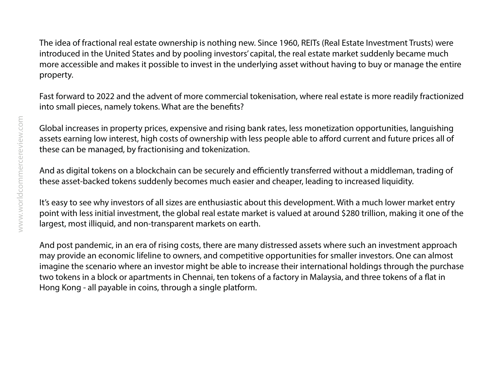The idea of fractional real estate ownership is nothing new. Since 1960, REITs (Real Estate Investment Trusts) were introduced in the United States and by pooling investors' capital, the real estate market suddenly became much more accessible and makes it possible to invest in the underlying asset without having to buy or manage the entire property.

Fast forward to 2022 and the advent of more commercial tokenisation, where real estate is more readily fractionized into small pieces, namely tokens. What are the benefits?

Global increases in property prices, expensive and rising bank rates, less monetization opportunities, languishing assets earning low interest, high costs of ownership with less people able to afford current and future prices all of these can be managed, by fractionising and tokenization.

And as digital tokens on a blockchain can be securely and efficiently transferred without a middleman, trading of these asset-backed tokens suddenly becomes much easier and cheaper, leading to increased liquidity.

It's easy to see why investors of all sizes are enthusiastic about this development. With a much lower market entry point with less initial investment, the global real estate market is valued at around \$280 trillion, making it one of the largest, most illiquid, and non-transparent markets on earth.

And post pandemic, in an era of rising costs, there are many distressed assets where such an investment approach may provide an economic lifeline to owners, and competitive opportunities for smaller investors. One can almost imagine the scenario where an investor might be able to increase their international holdings through the purchase two tokens in a block or apartments in Chennai, ten tokens of a factory in Malaysia, and three tokens of a flat in Hong Kong - all payable in coins, through a single platform.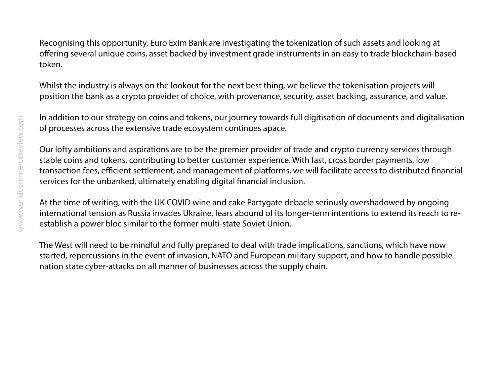Recognising this opportunity, Euro Exim Bank are investigating the tokenization of such assets and looking at offering several unique coins, asset backed by investment grade instruments in an easy to trade blockchain-based token.

Whilst the industry is always on the lookout for the next best thing, we believe the tokenisation projects will position the bank as a crypto provider of choice, with provenance, security, asset backing, assurance, and value.

In addition to our strategy on coins and tokens, our journey towards full digitisation of documents and digitalisation of processes across the extensive trade ecosystem continues apace.

Our lofty ambitions and aspirations are to be the premier provider of trade and crypto currency services through stable coins and tokens, contributing to better customer experience. With fast, cross border payments, low transaction fees, efficient settlement, and management of platforms, we will facilitate access to distributed financial services for the unbanked, ultimately enabling digital financial inclusion.

At the time of writing, with the UK COVID wine and cake Partygate debacle seriously overshadowed by ongoing international tension as Russia invades Ukraine, fears abound of its longer-term intentions to extend its reach to reestablish a power bloc similar to the former multi-state Soviet Union.

The West will need to be mindful and fully prepared to deal with trade implications, sanctions, which have now started, repercussions in the event of invasion, NATO and European military support, and how to handle possible nation state cyber-attacks on all manner of businesses across the supply chain.